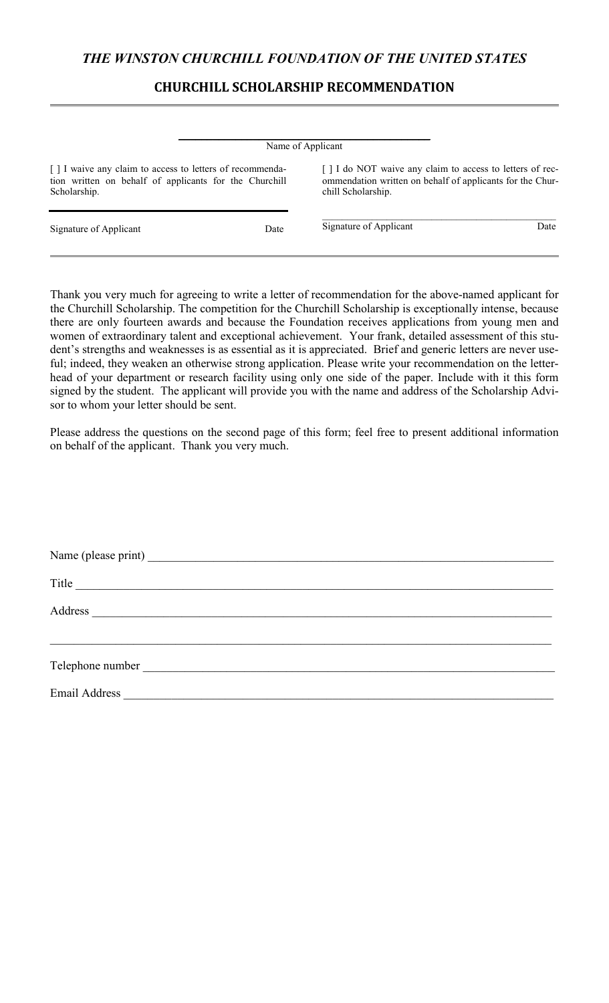## **CHURCHILL SCHOLARSHIP RECOMMENDATION**

|                                                                                                                                     |      | Name of Applicant                                                                                                                           |      |
|-------------------------------------------------------------------------------------------------------------------------------------|------|---------------------------------------------------------------------------------------------------------------------------------------------|------|
| [ ] I waive any claim to access to letters of recommenda-<br>tion written on behalf of applicants for the Churchill<br>Scholarship. |      | [] I do NOT waive any claim to access to letters of rec-<br>ommendation written on behalf of applicants for the Chur-<br>chill Scholarship. |      |
| Signature of Applicant                                                                                                              | Date | Signature of Applicant                                                                                                                      | Date |

Thank you very much for agreeing to write a letter of recommendation for the above-named applicant for the Churchill Scholarship. The competition for the Churchill Scholarship is exceptionally intense, because there are only fourteen awards and because the Foundation receives applications from young men and women of extraordinary talent and exceptional achievement. Your frank, detailed assessment of this student's strengths and weaknesses is as essential as it is appreciated. Brief and generic letters are never useful; indeed, they weaken an otherwise strong application. Please write your recommendation on the letterhead of your department or research facility using only one side of the paper. Include with it this form signed by the student. The applicant will provide you with the name and address of the Scholarship Advisor to whom your letter should be sent.

Please address the questions on the second page of this form; feel free to present additional information on behalf of the applicant. Thank you very much.

| Title                                                                                                                                                                                                                                |
|--------------------------------------------------------------------------------------------------------------------------------------------------------------------------------------------------------------------------------------|
|                                                                                                                                                                                                                                      |
|                                                                                                                                                                                                                                      |
| Telephone number <b>expansion of the contract of the contract of the contract of the contract of the contract of the contract of the contract of the contract of the contract of the contract of the contract of the contract of</b> |
|                                                                                                                                                                                                                                      |